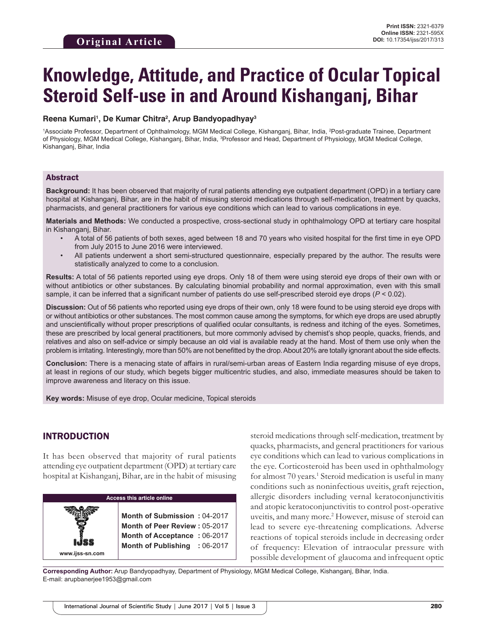# **Knowledge, Attitude, and Practice of Ocular Topical Steroid Self-use in and Around Kishanganj, Bihar**

#### **Reena Kumari1 , De Kumar Chitra2 , Arup Bandyopadhyay3**

1Associate Professor, Department of Ophthalmology, MGM Medical College, Kishanganj, Bihar, India, <sup>2</sup>Post-graduate Trainee, Department of Physiology, MGM Medical College, Kishanganj, Bihar, India, 3 Professor and Head, Department of Physiology, MGM Medical College, Kishanganj, Bihar, India

### Abstract

**Background:** It has been observed that majority of rural patients attending eye outpatient department (OPD) in a tertiary care hospital at Kishanganj, Bihar, are in the habit of misusing steroid medications through self-medication, treatment by quacks, pharmacists, and general practitioners for various eye conditions which can lead to various complications in eye.

**Materials and Methods:** We conducted a prospective, cross-sectional study in ophthalmology OPD at tertiary care hospital in Kishanganj, Bihar.

- A total of 56 patients of both sexes, aged between 18 and 70 years who visited hospital for the first time in eye OPD from July 2015 to June 2016 were interviewed.
- All patients underwent a short semi-structured questionnaire, especially prepared by the author. The results were statistically analyzed to come to a conclusion.

**Results:** A total of 56 patients reported using eye drops. Only 18 of them were using steroid eye drops of their own with or without antibiotics or other substances. By calculating binomial probability and normal approximation, even with this small sample, it can be inferred that a significant number of patients do use self-prescribed steroid eye drops (*P* < 0.02).

**Discussion:** Out of 56 patients who reported using eye drops of their own, only 18 were found to be using steroid eye drops with or without antibiotics or other substances. The most common cause among the symptoms, for which eye drops are used abruptly and unscientifically without proper prescriptions of qualified ocular consultants, is redness and itching of the eyes. Sometimes, these are prescribed by local general practitioners, but more commonly advised by chemist's shop people, quacks, friends, and relatives and also on self-advice or simply because an old vial is available ready at the hand. Most of them use only when the problem is irritating. Interestingly, more than 50% are not benefitted by the drop. About 20% are totally ignorant about the side effects.

**Conclusion:** There is a menacing state of affairs in rural/semi-urban areas of Eastern India regarding misuse of eye drops, at least in regions of our study, which begets bigger multicentric studies, and also, immediate measures should be taken to improve awareness and literacy on this issue.

**Key words:** Misuse of eye drop, Ocular medicine, Topical steroids

## INTRODUCTION

It has been observed that majority of rural patients attending eye outpatient department (OPD) at tertiary care hospital at Kishanganj, Bihar, are in the habit of misusing

| <b>Access this article online</b> |                                                                                                                                       |
|-----------------------------------|---------------------------------------------------------------------------------------------------------------------------------------|
| www.ijss-sn.com                   | Month of Submission: 04-2017<br><b>Month of Peer Review: 05-2017</b><br>Month of Acceptance: 06-2017<br>Month of Publishing : 06-2017 |

steroid medications through self-medication, treatment by quacks, pharmacists, and general practitioners for various eye conditions which can lead to various complications in the eye. Corticosteroid has been used in ophthalmology for almost 70 years.<sup>1</sup> Steroid medication is useful in many conditions such as noninfectious uveitis, graft rejection, allergic disorders including vernal keratoconjunctivitis and atopic keratoconjunctivitis to control post-operative uveitis, and many more.2 However, misuse of steroid can lead to severe eye-threatening complications. Adverse reactions of topical steroids include in decreasing order of frequency: Elevation of intraocular pressure with possible development of glaucoma and infrequent optic

**Corresponding Author:** Arup Bandyopadhyay, Department of Physiology, MGM Medical College, Kishanganj, Bihar, India. E-mail: arupbanerjee1953@gmail.com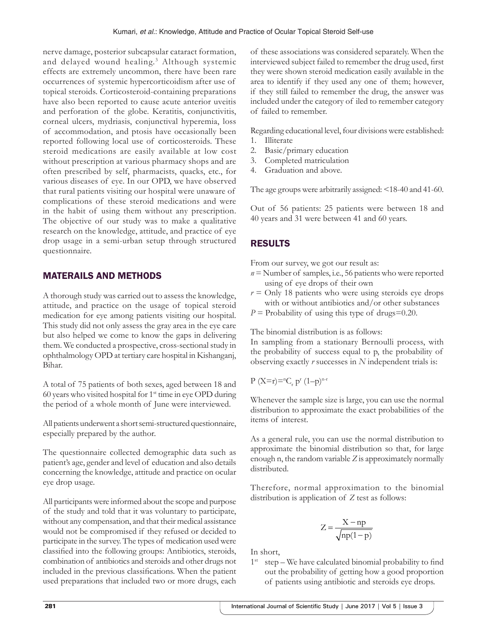nerve damage, posterior subcapsular cataract formation, and delayed wound healing.<sup>3</sup> Although systemic effects are extremely uncommon, there have been rare occurrences of systemic hypercorticoidism after use of topical steroids. Corticosteroid-containing preparations have also been reported to cause acute anterior uveitis and perforation of the globe. Keratitis, conjunctivitis, corneal ulcers, mydriasis, conjunctival hyperemia, loss of accommodation, and ptosis have occasionally been reported following local use of corticosteroids. These steroid medications are easily available at low cost without prescription at various pharmacy shops and are often prescribed by self, pharmacists, quacks, etc., for various diseases of eye. In our OPD, we have observed that rural patients visiting our hospital were unaware of complications of these steroid medications and were in the habit of using them without any prescription. The objective of our study was to make a qualitative research on the knowledge, attitude, and practice of eye drop usage in a semi-urban setup through structured questionnaire.

## MATERAILS AND METHODS

A thorough study was carried out to assess the knowledge, attitude, and practice on the usage of topical steroid medication for eye among patients visiting our hospital. This study did not only assess the gray area in the eye care but also helped we come to know the gaps in delivering them. We conducted a prospective, cross-sectional study in ophthalmology OPD at tertiary care hospital in Kishanganj, Bihar.

A total of 75 patients of both sexes, aged between 18 and 60 years who visited hospital for  $1<sup>st</sup>$  time in eye OPD during the period of a whole month of June were interviewed.

All patients underwent a short semi-structured questionnaire, especially prepared by the author.

The questionnaire collected demographic data such as patient's age, gender and level of education and also details concerning the knowledge, attitude and practice on ocular eye drop usage.

All participants were informed about the scope and purpose of the study and told that it was voluntary to participate, without any compensation, and that their medical assistance would not be compromised if they refused or decided to participate in the survey. The types of medication used were classified into the following groups: Antibiotics, steroids, combination of antibiotics and steroids and other drugs not included in the previous classifications. When the patient used preparations that included two or more drugs, each

of these associations was considered separately. When the interviewed subject failed to remember the drug used, first they were shown steroid medication easily available in the area to identify if they used any one of them; however, if they still failed to remember the drug, the answer was included under the category of iled to remember category of failed to remember.

Regarding educational level, four divisions were established:

- 1. Illiterate
- 2. Basic/primary education
- 3. Completed matriculation
- 4. Graduation and above.

The age groups were arbitrarily assigned: <18-40 and 41-60.

Out of 56 patients: 25 patients were between 18 and 40 years and 31 were between 41 and 60 years.

# RESULTS

From our survey, we got our result as:

*n* = Number of samples, i.e., 56 patients who were reported using of eye drops of their own

 $r =$  Only 18 patients who were using steroids eye drops with or without antibiotics and/or other substances

 $P =$  Probability of using this type of drugs=0.20.

The binomial distribution is as follows:

In sampling from a stationary Bernoulli process, with the probability of success equal to p, the probability of observing exactly *r* successes in *N* independent trials is:

$$
P\; (X{=}r){=}{^{n}}C_{_{r}}\;p^{r}\;(1{-}p)^{n\text{-}r}
$$

Whenever the sample size is large, you can use the normal distribution to approximate the exact probabilities of the items of interest.

As a general rule, you can use the normal distribution to approximate the binomial distribution so that, for large enough n, the random variable *Z* is approximately normally distributed.

Therefore, normal approximation to the binomial distribution is application of *Z* test as follows:

$$
Z = \frac{X - np}{\sqrt{np(1 - p)}}
$$

In short,

 $1<sup>st</sup> step – We have calculated binomial probability to find$ out the probability of getting how a good proportion of patients using antibiotic and steroids eye drops.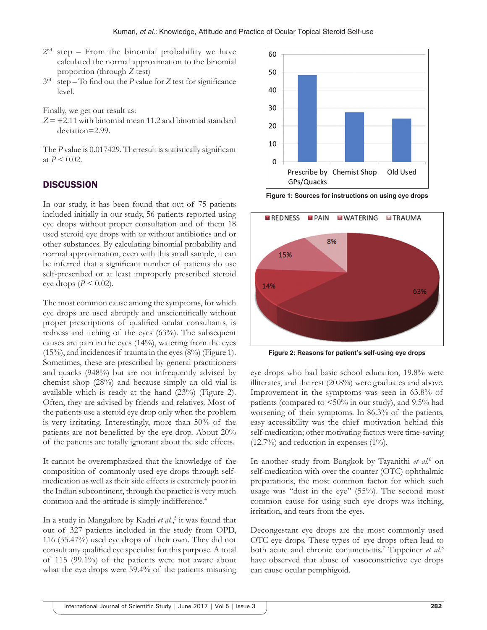- $2<sup>nd</sup>$  step From the binomial probability we have calculated the normal approximation to the binomial proportion (through *Z* test)
- 3rd step To find out the *P* value for *Z* test for significance level.

Finally, we get our result as:

 $Z = +2.11$  with binomial mean 11.2 and binomial standard deviation=2.99.

The *P* value is 0.017429. The result is statistically significant at  $P \le 0.02$ .

## **DISCUSSION**

In our study, it has been found that out of 75 patients included initially in our study, 56 patients reported using eye drops without proper consultation and of them 18 used steroid eye drops with or without antibiotics and or other substances. By calculating binomial probability and normal approximation, even with this small sample, it can be inferred that a significant number of patients do use self-prescribed or at least improperly prescribed steroid eye drops  $(P < 0.02)$ .

The most common cause among the symptoms, for which eye drops are used abruptly and unscientifically without proper prescriptions of qualified ocular consultants, is redness and itching of the eyes (63%). The subsequent causes are pain in the eyes (14%), watering from the eyes  $(15%)$ , and incidences if trauma in the eyes  $(8%)$  (Figure 1). Sometimes, these are prescribed by general practitioners and quacks (948%) but are not infrequently advised by chemist shop (28%) and because simply an old vial is available which is ready at the hand (23%) (Figure 2). Often, they are advised by friends and relatives. Most of the patients use a steroid eye drop only when the problem is very irritating. Interestingly, more than 50% of the patients are not benefitted by the eye drop. About 20% of the patients are totally ignorant about the side effects.

It cannot be overemphasized that the knowledge of the composition of commonly used eye drops through selfmedication as well as their side effects is extremely poor in the Indian subcontinent, through the practice is very much common and the attitude is simply indifference.<sup>4</sup>

In a study in Mangalore by Kadri *et al.*, 5 it was found that out of 327 patients included in the study from OPD, 116 (35.47%) used eye drops of their own. They did not consult any qualified eye specialist for this purpose. A total of 115 (99.1%) of the patients were not aware about what the eye drops were 59.4% of the patients misusing



**Figure 1: Sources for instructions on using eye drops**



**Figure 2: Reasons for patient's self-using eye drops**

eye drops who had basic school education, 19.8% were illiterates, and the rest (20.8%) were graduates and above. Improvement in the symptoms was seen in 63.8% of patients (compared to <50% in our study), and 9.5% had worsening of their symptoms. In 86.3% of the patients, easy accessibility was the chief motivation behind this self-medication; other motivating factors were time-saving  $(12.7%)$  and reduction in expenses  $(1%)$ .

In another study from Bangkok by Tayanithi *et al.*<sup>6</sup> on self-medication with over the counter (OTC) ophthalmic preparations, the most common factor for which such usage was "dust in the eye" (55%). The second most common cause for using such eye drops was itching, irritation, and tears from the eyes.

Decongestant eye drops are the most commonly used OTC eye drops. These types of eye drops often lead to both acute and chronic conjunctivitis.<sup>7</sup> Tappeiner et al.<sup>8</sup> have observed that abuse of vasoconstrictive eye drops can cause ocular pemphigoid.